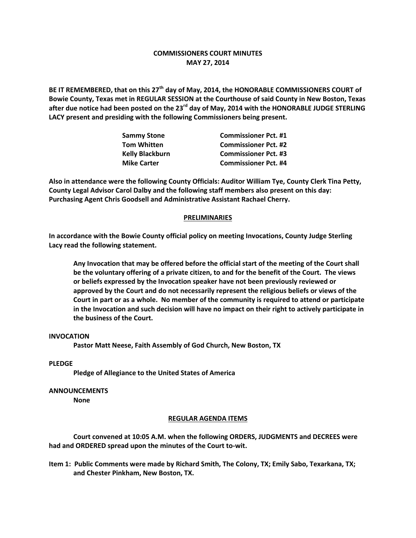# **COMMISSIONERS COURT MINUTES MAY 27, 2014**

**BE IT REMEMBERED, that on this 27th day of May, 2014, the HONORABLE COMMISSIONERS COURT of Bowie County, Texas met in REGULAR SESSION at the Courthouse of said County in New Boston, Texas after due notice had been posted on the 23rd day of May, 2014 with the HONORABLE JUDGE STERLING LACY present and presiding with the following Commissioners being present.**

| <b>Sammy Stone</b>     | <b>Commissioner Pct. #1</b> |
|------------------------|-----------------------------|
| <b>Tom Whitten</b>     | <b>Commissioner Pct. #2</b> |
| <b>Kelly Blackburn</b> | <b>Commissioner Pct. #3</b> |
| <b>Mike Carter</b>     | <b>Commissioner Pct. #4</b> |

**Also in attendance were the following County Officials: Auditor William Tye, County Clerk Tina Petty, County Legal Advisor Carol Dalby and the following staff members also present on this day: Purchasing Agent Chris Goodsell and Administrative Assistant Rachael Cherry.**

## **PRELIMINARIES**

**In accordance with the Bowie County official policy on meeting Invocations, County Judge Sterling Lacy read the following statement.**

**Any Invocation that may be offered before the official start of the meeting of the Court shall be the voluntary offering of a private citizen, to and for the benefit of the Court. The views or beliefs expressed by the Invocation speaker have not been previously reviewed or approved by the Court and do not necessarily represent the religious beliefs or views of the Court in part or as a whole. No member of the community is required to attend or participate in the Invocation and such decision will have no impact on their right to actively participate in the business of the Court.**

## **INVOCATION**

**Pastor Matt Neese, Faith Assembly of God Church, New Boston, TX**

## **PLEDGE**

**Pledge of Allegiance to the United States of America**

#### **ANNOUNCEMENTS**

**None**

#### **REGULAR AGENDA ITEMS**

**Court convened at 10:05 A.M. when the following ORDERS, JUDGMENTS and DECREES were had and ORDERED spread upon the minutes of the Court to-wit.**

**Item 1: Public Comments were made by Richard Smith, The Colony, TX; Emily Sabo, Texarkana, TX; and Chester Pinkham, New Boston, TX.**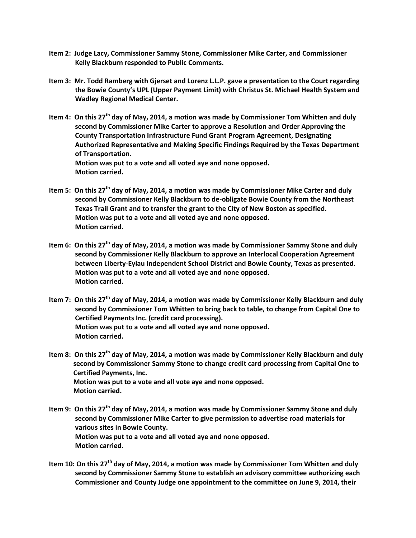- **Item 2: Judge Lacy, Commissioner Sammy Stone, Commissioner Mike Carter, and Commissioner Kelly Blackburn responded to Public Comments.**
- **Item 3: Mr. Todd Ramberg with Gjerset and Lorenz L.L.P. gave a presentation to the Court regarding the Bowie County's UPL (Upper Payment Limit) with Christus St. Michael Health System and Wadley Regional Medical Center.**
- **Item 4: On this 27th day of May, 2014, a motion was made by Commissioner Tom Whitten and duly second by Commissioner Mike Carter to approve a Resolution and Order Approving the County Transportation Infrastructure Fund Grant Program Agreement, Designating Authorized Representative and Making Specific Findings Required by the Texas Department of Transportation. Motion was put to a vote and all voted aye and none opposed. Motion carried.**
- **Item 5: On this 27th day of May, 2014, a motion was made by Commissioner Mike Carter and duly second by Commissioner Kelly Blackburn to de-obligate Bowie County from the Northeast Texas Trail Grant and to transfer the grant to the City of New Boston as specified. Motion was put to a vote and all voted aye and none opposed. Motion carried.**
- **Item 6: On this 27th day of May, 2014, a motion was made by Commissioner Sammy Stone and duly second by Commissioner Kelly Blackburn to approve an Interlocal Cooperation Agreement between Liberty-Eylau Independent School District and Bowie County, Texas as presented. Motion was put to a vote and all voted aye and none opposed. Motion carried.**
- **Item 7: On this 27th day of May, 2014, a motion was made by Commissioner Kelly Blackburn and duly second by Commissioner Tom Whitten to bring back to table, to change from Capital One to Certified Payments Inc. (credit card processing). Motion was put to a vote and all voted aye and none opposed. Motion carried.**
- **Item 8: On this 27th day of May, 2014, a motion was made by Commissioner Kelly Blackburn and duly second by Commissioner Sammy Stone to change credit card processing from Capital One to Certified Payments, Inc. Motion was put to a vote and all vote aye and none opposed. Motion carried.**
- **Item 9: On this 27th day of May, 2014, a motion was made by Commissioner Sammy Stone and duly second by Commissioner Mike Carter to give permission to advertise road materials for various sites in Bowie County. Motion was put to a vote and all voted aye and none opposed. Motion carried.**
- **Item 10: On this 27th day of May, 2014, a motion was made by Commissioner Tom Whitten and duly second by Commissioner Sammy Stone to establish an advisory committee authorizing each Commissioner and County Judge one appointment to the committee on June 9, 2014, their**